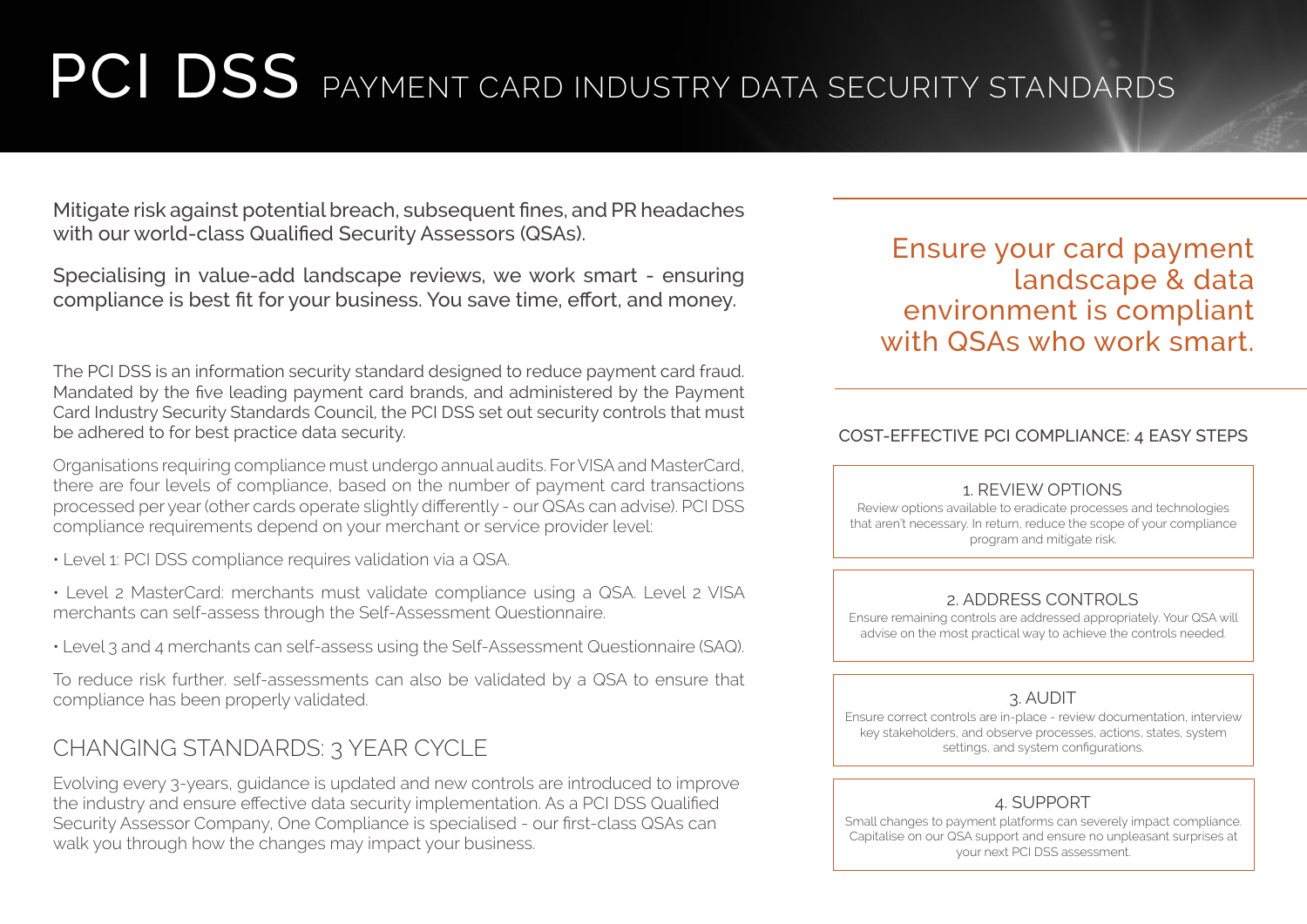# PCI DSS PAYMENT CARD INDUSTRY DATA SECURITY STANDARDS

Mitigate risk against potential breach, subsequent fines, and PR headaches with our world-class Qualified Security Assessors (QSAs).

Specialising in value-add landscape reviews, we work smart - ensuring compliance is best fit for your business. You save time, effort, and money.

The PCI DSS is an information security standard designed to reduce payment card fraud. Mandated by the five leading payment card brands, and administered by the Payment Card Industry Security Standards Council, the PCI DSS set out security controls that must be adhered to for best practice data security.

Organisations requiring compliance must undergo annual audits. For VISA and MasterCard, there are four levels of compliance, based on the number of payment card transactions processed per year (other cards operate slightly differently - our QSAs can advise). PCI DSS compliance requirements depend on your merchant or service provider level:

- Level 1: PCI DSS compliance requires validation via a QSA.
- Level 2 MasterCard: merchants must validate compliance using a QSA. Level 2 VISA merchants can self-assess through the Self-Assessment Questionnaire.
- Level 3 and 4 merchants can self-assess using the Self-Assessment Questionnaire (SAQ).

To reduce risk further. self-assessments can also be validated by a QSA to ensure that compliance has been properly validated.

## CHANGING STANDARDS: 3 YEAR CYCLE

Evolving every 3-years, guidance is updated and new controls are introduced to improve the industry and ensure effective data security implementation. As a PCI DSS Qualified Security Assessor Company, One Compliance is specialised - our first-class QSAs can walk you through how the changes may impact your business.

Ensure your card payment landscape & data environment is compliant with QSAs who work smart.

#### COST-EFFECTIVE PCI COMPLIANCE: 4 EASY STEPS

#### 1. REVIEW OPTIONS

Review options available to eradicate processes and technologies that aren't necessary. In return, reduce the scope of your compliance program and mitigate risk.

#### 2. ADDRESS CONTROLS

Ensure remaining controls are addressed appropriately. Your QSA will advise on the most practical way to achieve the controls needed.

### 3. AUDIT

Ensure correct controls are in-place - review documentation, interview key stakeholders, and observe processes, actions, states, system settings, and system configurations.

## 4. SUPPORT

Small changes to payment platforms can severely impact compliance. Capitalise on our QSA support and ensure no unpleasant surprises at your next PCI DSS assessment.